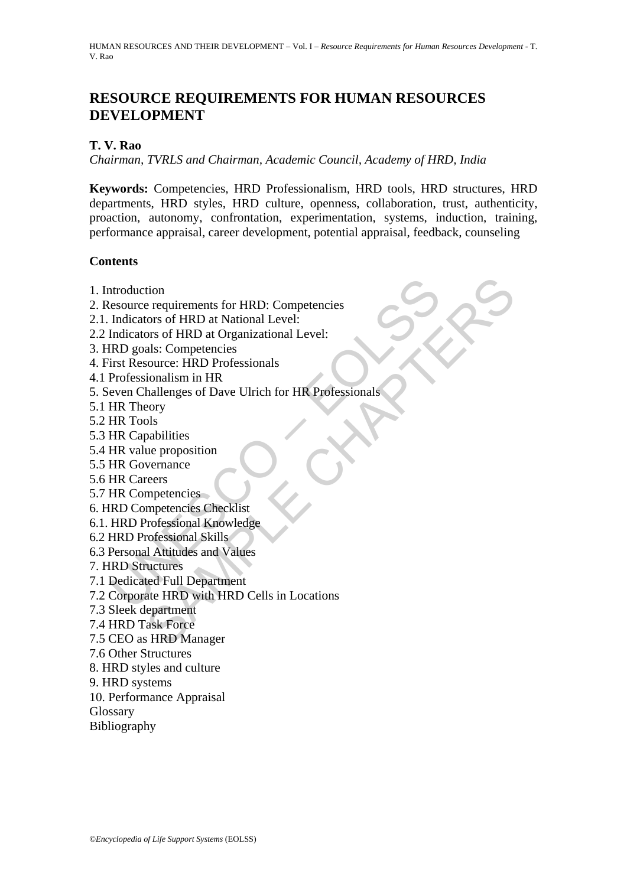# **RESOURCE REQUIREMENTS FOR HUMAN RESOURCES DEVELOPMENT**

## **T. V. Rao**

*Chairman, TVRLS and Chairman, Academic Council, Academy of HRD, India*

**Keywords:** Competencies, HRD Professionalism, HRD tools, HRD structures, HRD departments, HRD styles, HRD culture, openness, collaboration, trust, authenticity, proaction, autonomy, confrontation, experimentation, systems, induction, training, performance appraisal, career development, potential appraisal, feedback, counseling

## **Contents**

- 1. Introduction
- 2. Resource requirements for HRD: Competencies
- 2.1. Indicators of HRD at National Level:
- 2.2 Indicators of HRD at Organizational Level:
- 3. HRD goals: Competencies
- 4. First Resource: HRD Professionals
- 4.1 Professionalism in HR
- ntroduction<br>
esource requirements for HRD: Competencies<br>
Indicators of HRD at National Level:<br>
Endicators of HRD at Organizational Level:<br>
END goals: Competencies<br>
Professionalism in HR<br>
Professionalism in HR<br>
Professional tion<br>
encyclosity of HRD at National Level:<br>
Sors of HRD at National Level:<br>
als: Competencies<br>
source: HRD Professionals<br>
source: HRD Professionals<br>
ionalism in HR<br>
solutions<br>
solutions<br>
solutions<br>
solutions<br>
specifies Ch 5. Seven Challenges of Dave Ulrich for HR Professionals
- 5.1 HR Theory
- 5.2 HR Tools
- 5.3 HR Capabilities
- 5.4 HR value proposition
- 5.5 HR Governance
- 5.6 HR Careers
- 5.7 HR Competencies
- 6. HRD Competencies Checklist
- 6.1. HRD Professional Knowledge
- 6.2 HRD Professional Skills
- 6.3 Personal Attitudes and Values
- 7. HRD Structures
- 7.1 Dedicated Full Department
- 7.2 Corporate HRD with HRD Cells in Locations
- 7.3 Sleek department
- 7.4 HRD Task Force
- 7.5 CEO as HRD Manager
- 7.6 Other Structures
- 8. HRD styles and culture
- 9. HRD systems
- 10. Performance Appraisal
- Glossary
- Bibliography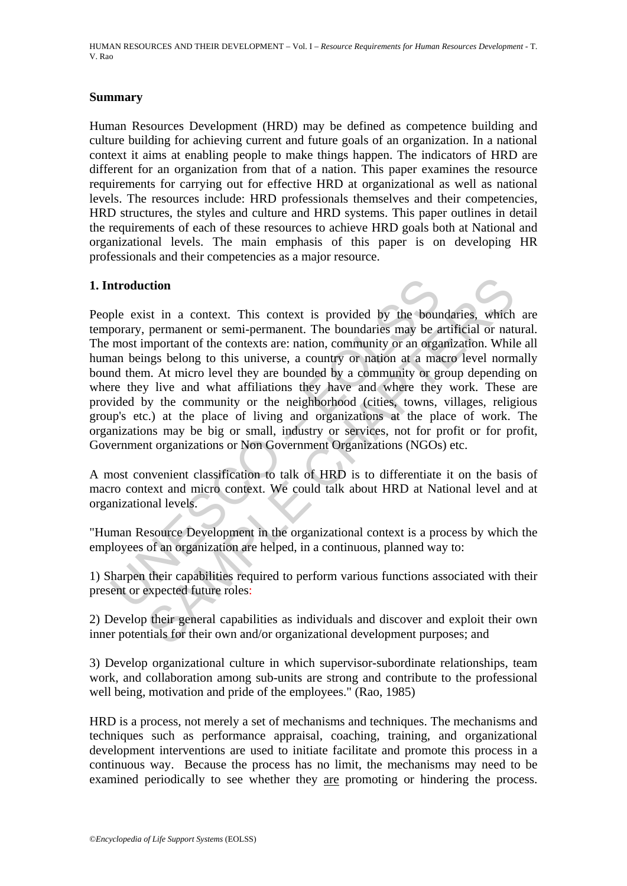HUMAN RESOURCES AND THEIR DEVELOPMENT – Vol. I – *Resource Requirements for Human Resources Development* - T. V. Rao

## **Summary**

Human Resources Development (HRD) may be defined as competence building and culture building for achieving current and future goals of an organization. In a national context it aims at enabling people to make things happen. The indicators of HRD are different for an organization from that of a nation. This paper examines the resource requirements for carrying out for effective HRD at organizational as well as national levels. The resources include: HRD professionals themselves and their competencies, HRD structures, the styles and culture and HRD systems. This paper outlines in detail the requirements of each of these resources to achieve HRD goals both at National and organizational levels. The main emphasis of this paper is on developing HR professionals and their competencies as a major resource.

## **1. Introduction**

ntroduction<br>ple exist in a context. This context is provided by the bourd<br>prorary, permanent or semi-permanent. The boundaries may be a<br>most important of the contexts are: nation, community or an orga<br>ann beings belong to ction<br>st in a context. This context is provided by the boundaries, which<br>permanent or semi-permanent. The boundaries may be artificial or nat<br>mportant of the contexts are: nation, community or an organization. Whil<br>m. At m People exist in a context. This context is provided by the boundaries, which are temporary, permanent or semi-permanent. The boundaries may be artificial or natural. The most important of the contexts are: nation, community or an organization. While all human beings belong to this universe, a country or nation at a macro level normally bound them. At micro level they are bounded by a community or group depending on where they live and what affiliations they have and where they work. These are provided by the community or the neighborhood (cities, towns, villages, religious group's etc.) at the place of living and organizations at the place of work. The organizations may be big or small, industry or services, not for profit or for profit, Government organizations or Non Government Organizations (NGOs) etc.

A most convenient classification to talk of HRD is to differentiate it on the basis of macro context and micro context. We could talk about HRD at National level and at organizational levels.

"Human Resource Development in the organizational context is a process by which the employees of an organization are helped, in a continuous, planned way to:

1) Sharpen their capabilities required to perform various functions associated with their present or expected future roles:

2) Develop their general capabilities as individuals and discover and exploit their own inner potentials for their own and/or organizational development purposes; and

3) Develop organizational culture in which supervisor-subordinate relationships, team work, and collaboration among sub-units are strong and contribute to the professional well being, motivation and pride of the employees." (Rao, 1985)

HRD is a process, not merely a set of mechanisms and techniques. The mechanisms and techniques such as performance appraisal, coaching, training, and organizational development interventions are used to initiate facilitate and promote this process in a continuous way. Because the process has no limit, the mechanisms may need to be examined periodically to see whether they are promoting or hindering the process.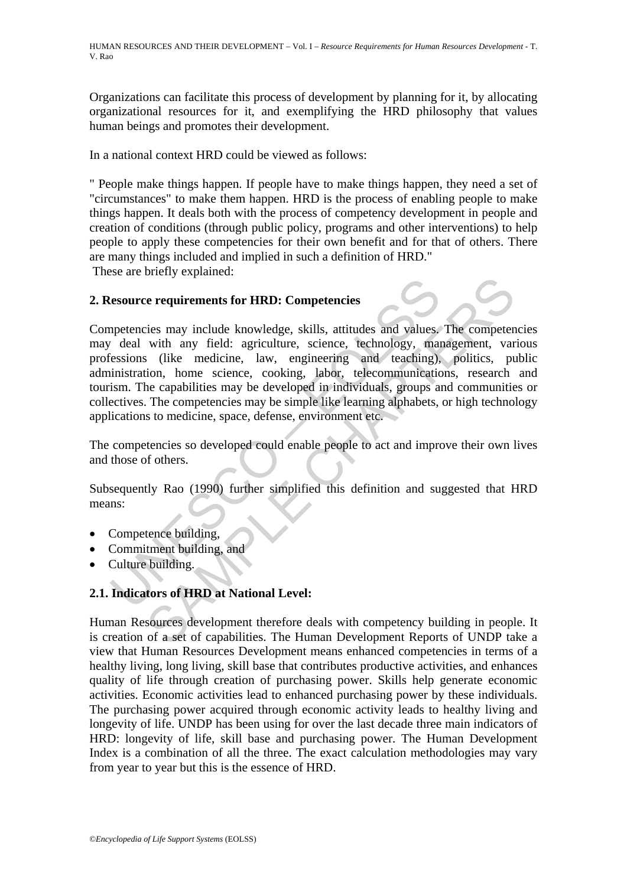Organizations can facilitate this process of development by planning for it, by allocating organizational resources for it, and exemplifying the HRD philosophy that values human beings and promotes their development.

In a national context HRD could be viewed as follows:

" People make things happen. If people have to make things happen, they need a set of "circumstances" to make them happen. HRD is the process of enabling people to make things happen. It deals both with the process of competency development in people and creation of conditions (through public policy, programs and other interventions) to help people to apply these competencies for their own benefit and for that of others. There are many things included and implied in such a definition of HRD."

These are briefly explained:

## **2. Resource requirements for HRD: Competencies**

desource requirements for HRD: Competencies<br>
appetencies may include knowledge, skills, attitudes and values,<br>
the deal with any field: agriculture, science, technology, man<br>
desisions (like medicine, law, engineering and Example 1.1 The competencies<br>
its may include knowledge, skills, attitudes and values. The competent<br>
with any field: agriculture, science, technology, management, var<br>
ition, home science, cooking, labor, telecommunicatio Competencies may include knowledge, skills, attitudes and values. The competencies may deal with any field: agriculture, science, technology, management, various professions (like medicine, law, engineering and teaching), politics, public administration, home science, cooking, labor, telecommunications, research and tourism. The capabilities may be developed in individuals, groups and communities or collectives. The competencies may be simple like learning alphabets, or high technology applications to medicine, space, defense, environment etc.

The competencies so developed could enable people to act and improve their own lives and those of others.

Subsequently Rao (1990) further simplified this definition and suggested that HRD means:

- Competence building,
- Commitment building, and
- Culture building.

# **2.1. Indicators of HRD at National Level:**

Human Resources development therefore deals with competency building in people. It is creation of a set of capabilities. The Human Development Reports of UNDP take a view that Human Resources Development means enhanced competencies in terms of a healthy living, long living, skill base that contributes productive activities, and enhances quality of life through creation of purchasing power. Skills help generate economic activities. Economic activities lead to enhanced purchasing power by these individuals. The purchasing power acquired through economic activity leads to healthy living and longevity of life. UNDP has been using for over the last decade three main indicators of HRD: longevity of life, skill base and purchasing power. The Human Development Index is a combination of all the three. The exact calculation methodologies may vary from year to year but this is the essence of HRD.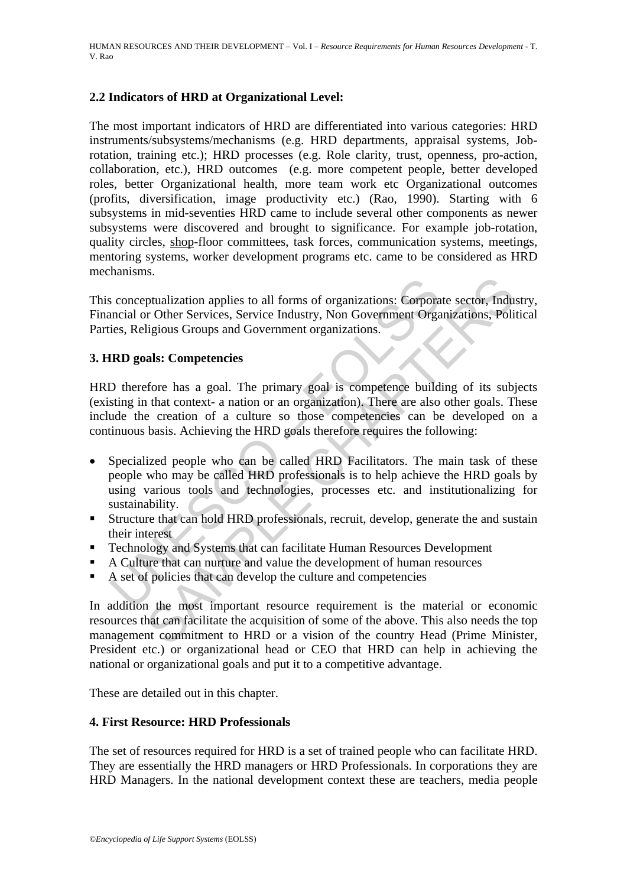## **2.2 Indicators of HRD at Organizational Level:**

The most important indicators of HRD are differentiated into various categories: HRD instruments/subsystems/mechanisms (e.g. HRD departments, appraisal systems, Jobrotation, training etc.); HRD processes (e.g. Role clarity, trust, openness, pro-action, collaboration, etc.), HRD outcomes (e.g. more competent people, better developed roles, better Organizational health, more team work etc Organizational outcomes (profits, diversification, image productivity etc.) (Rao, 1990). Starting with 6 subsystems in mid-seventies HRD came to include several other components as newer subsystems were discovered and brought to significance. For example job-rotation, quality circles, shop-floor committees, task forces, communication systems, meetings, mentoring systems, worker development programs etc. came to be considered as HRD mechanisms.

This conceptualization applies to all forms of organizations: Corporate sector, Industry, Financial or Other Services, Service Industry, Non Government Organizations, Political Parties, Religious Groups and Government organizations.

## **3. HRD goals: Competencies**

is conceptualization applies to all forms of organizations: Corpora<br>nocial or Other Services, Service Industry, Non Government Orga<br>ies, Religious Groups and Government organizations.<br>**IRD goals: Competencies**<br>D therefore Trualization applies to all forms of organizations: Corporate sector, Indu<br>prubligious Groups and Government organizations.<br>Idigious Groups and Government organizations.<br>**Als:** Competencies<br>fore has a goal. The primary goa HRD therefore has a goal. The primary goal is competence building of its subjects (existing in that context- a nation or an organization). There are also other goals. These include the creation of a culture so those competencies can be developed on a continuous basis. Achieving the HRD goals therefore requires the following:

- Specialized people who can be called HRD Facilitators. The main task of these people who may be called HRD professionals is to help achieve the HRD goals by using various tools and technologies, processes etc. and institutionalizing for sustainability.
- Structure that can hold HRD professionals, recruit, develop, generate the and sustain their interest
- Technology and Systems that can facilitate Human Resources Development
- A Culture that can nurture and value the development of human resources
- A set of policies that can develop the culture and competencies

In addition the most important resource requirement is the material or economic resources that can facilitate the acquisition of some of the above. This also needs the top management commitment to HRD or a vision of the country Head (Prime Minister, President etc.) or organizational head or CEO that HRD can help in achieving the national or organizational goals and put it to a competitive advantage.

These are detailed out in this chapter.

## **4. First Resource: HRD Professionals**

The set of resources required for HRD is a set of trained people who can facilitate HRD. They are essentially the HRD managers or HRD Professionals. In corporations they are HRD Managers. In the national development context these are teachers, media people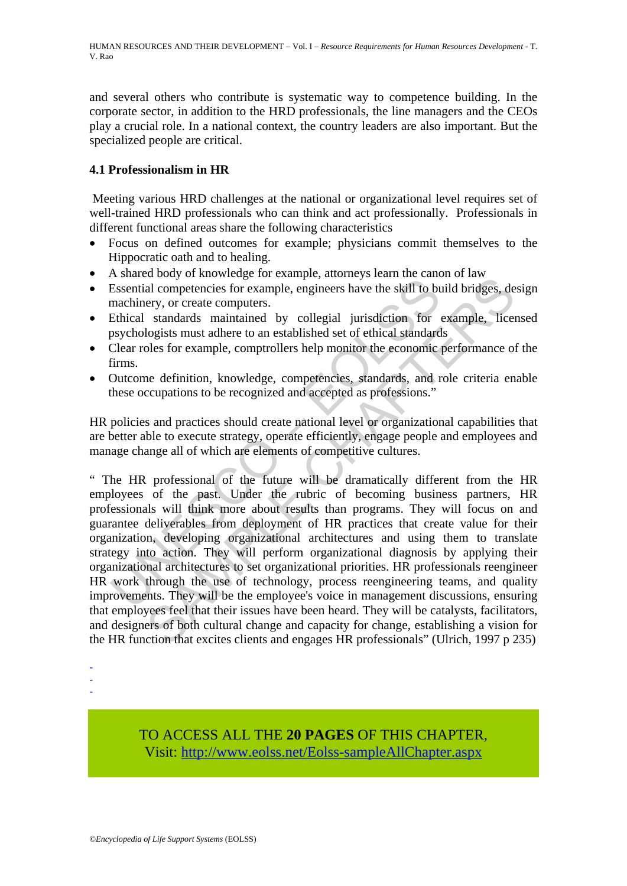and several others who contribute is systematic way to competence building. In the corporate sector, in addition to the HRD professionals, the line managers and the CEOs play a crucial role. In a national context, the country leaders are also important. But the specialized people are critical.

# **4.1 Professionalism in HR**

Meeting various HRD challenges at the national or organizational level requires set of well-trained HRD professionals who can think and act professionally. Professionals in different functional areas share the following characteristics

- Focus on defined outcomes for example; physicians commit themselves to the Hippocratic oath and to healing.
- A shared body of knowledge for example, attorneys learn the canon of law
- Essential competencies for example, engineers have the skill to build bridges, design machinery, or create computers.
- Ethical standards maintained by collegial jurisdiction for example, licensed psychologists must adhere to an established set of ethical standards
- Clear roles for example, comptrollers help monitor the economic performance of the firms.
- Outcome definition, knowledge, competencies, standards, and role criteria enable these occupations to be recognized and accepted as professions."

HR policies and practices should create national level or organizational capabilities that are better able to execute strategy, operate efficiently, engage people and employees and manage change all of which are elements of competitive cultures.

Essential competencies for example, engineers have the skill to bu<br>Essential competencies for example, engineers have the skill to bu<br>machinery, or create computers.<br>Ethical standards maintained by collegial jurisdiction f about of a complement paramizeries for example, engineers have the skill to build bridges, de<br>ery, or create computers.<br>
standards maintained by collegial jurisdiction for example, lice<br>
logists must adhere to an establish " The HR professional of the future will be dramatically different from the HR employees of the past. Under the rubric of becoming business partners, HR professionals will think more about results than programs. They will focus on and guarantee deliverables from deployment of HR practices that create value for their organization, developing organizational architectures and using them to translate strategy into action. They will perform organizational diagnosis by applying their organizational architectures to set organizational priorities. HR professionals reengineer HR work through the use of technology, process reengineering teams, and quality improvements. They will be the employee's voice in management discussions, ensuring that employees feel that their issues have been heard. They will be catalysts, facilitators, and designers of both cultural change and capacity for change, establishing a vision for the HR function that excites clients and engages HR professionals" (Ulrich, 1997 p 235)

- -

-

TO ACCESS ALL THE **20 PAGES** OF THIS CHAPTER, Visit[: http://www.eolss.net/Eolss-sampleAllChapter.aspx](https://www.eolss.net/ebooklib/sc_cart.aspx?File=E1-10-02-05)